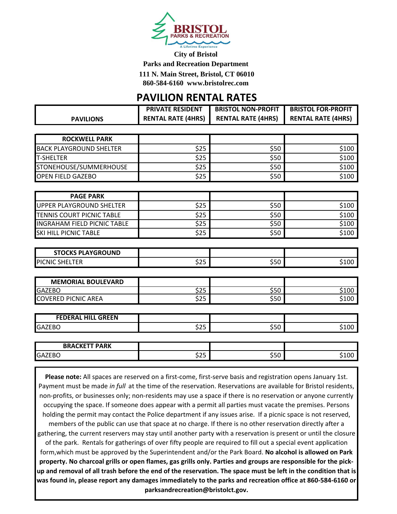

**City of Bristol** 

**Parks and Recreation Department** 

**111 N. Main Street, Bristol, CT 06010**

**860-584-6160 www.bristolrec.com** 

## **PAVILION RENTAL RATES**

|                                    | <b>PRIVATE RESIDENT</b>   | <b>BRISTOL NON-PROFIT</b> | <b>BRISTOL FOR-PROFIT</b> |
|------------------------------------|---------------------------|---------------------------|---------------------------|
| <b>PAVILIONS</b>                   | <b>RENTAL RATE (4HRS)</b> | <b>RENTAL RATE (4HRS)</b> | <b>RENTAL RATE (4HRS)</b> |
|                                    |                           |                           |                           |
| <b>ROCKWELL PARK</b>               |                           |                           |                           |
| <b>BACK PLAYGROUND SHELTER</b>     | \$25                      | \$50                      | \$100                     |
| <b>T-SHELTER</b>                   | \$25                      | \$50                      | \$100                     |
| STONEHOUSE/SUMMERHOUSE             | \$25                      | \$50                      | \$100                     |
| <b>OPEN FIELD GAZEBO</b>           | \$25                      | \$50                      | \$100                     |
|                                    |                           |                           |                           |
| <b>PAGE PARK</b>                   |                           |                           |                           |
| UPPER PLAYGROUND SHELTER           | \$25                      | \$50                      | \$100                     |
| <b>TENNIS COURT PICNIC TABLE</b>   | \$25                      | \$50                      | \$100                     |
| <b>INGRAHAM FIELD PICNIC TABLE</b> | \$25                      | \$50                      | \$100                     |
| <b>SKI HILL PICNIC TABLE</b>       | \$25                      | \$50                      | \$100                     |
|                                    |                           |                           |                           |
| <b>STOCKS PLAYGROUND</b>           |                           |                           |                           |
| PICNIC SHELTER                     | \$25                      | \$50                      | \$100                     |
|                                    |                           |                           |                           |
| <b>MEMORIAL BOULEVARD</b>          |                           |                           |                           |
| <b>GAZEBO</b>                      | \$25                      | \$50                      | \$100                     |
| <b>COVERED PICNIC AREA</b>         | \$25                      | \$50                      | \$100                     |
|                                    |                           |                           |                           |
| <b>FEDERAL HILL GREEN</b>          |                           |                           |                           |
| <b>GAZEBO</b>                      | \$25                      | \$50                      | \$100                     |
|                                    |                           |                           |                           |
| <b>BRACKETT PARK</b>               |                           |                           |                           |
| <b>GAZEBO</b>                      | \$25                      | \$50                      | \$100                     |

**Please note:** All spaces are reserved on a first-come, first-serve basis and registration opens January 1st. Payment must be made *in full* at the time of the reservation. Reservations are available for Bristol residents, non-profits, or businesses only; non-residents may use a space if there is no reservation or anyone currently occupying the space. If someone does appear with a permit all parties must vacate the premises. Persons holding the permit may contact the Police department if any issues arise. If a picnic space is not reserved, members of the public can use that space at no charge. If there is no other reservation directly after a gathering, the current reservers may stay until another party with a reservation is present or until the closure of the park. Rentals for gatherings of over fifty people are required to fill out a special event application form,which must be approved by the Superintendent and/or the Park Board. **No alcohol is allowed on Park property. No charcoal grills or open flames, gas grills only. Parties and groups are responsible for the pickup and removal of all trash before the end of the reservation. The space must be left in the condition that is was found in, please report any damages immediately to the parks and recreation office at 860-584-6160 or parksandrecreation@bristolct.gov.**